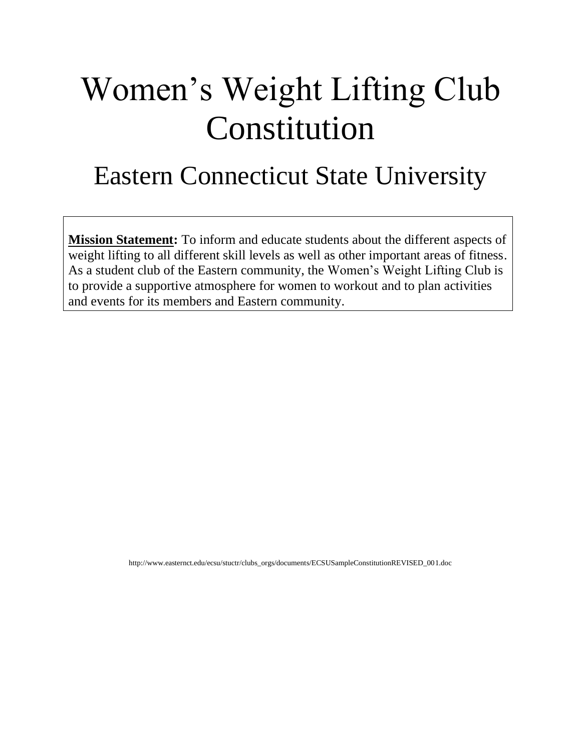# Women's Weight Lifting Club Constitution

## Eastern Connecticut State University

**Mission Statement:** To inform and educate students about the different aspects of weight lifting to all different skill levels as well as other important areas of fitness. As a student club of the Eastern community, the Women's Weight Lifting Club is to provide a supportive atmosphere for women to workout and to plan activities and events for its members and Eastern community.

http://www.easternct.edu/ecsu/stuctr/clubs\_orgs/documents/ECSUSampleConstitutionREVISED\_001.doc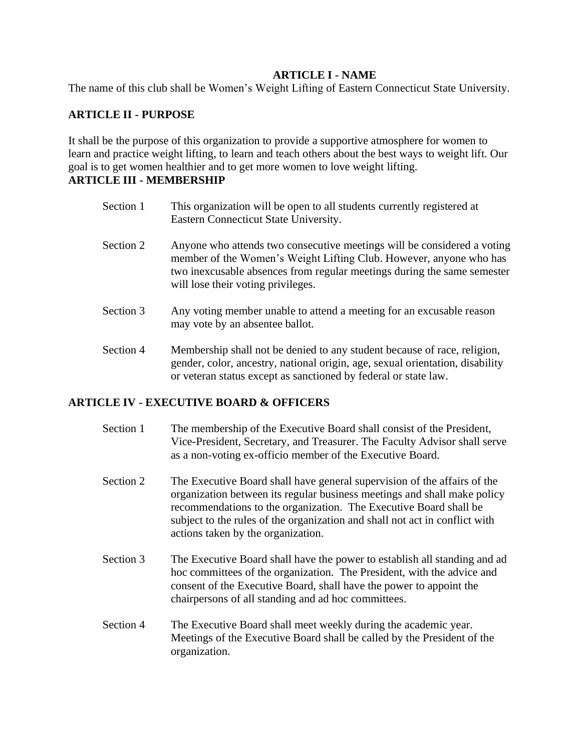#### **ARTICLE I - NAME**

The name of this club shall be Women's Weight Lifting of Eastern Connecticut State University.

#### **ARTICLE II - PURPOSE**

It shall be the purpose of this organization to provide a supportive atmosphere for women to learn and practice weight lifting, to learn and teach others about the best ways to weight lift. Our goal is to get women healthier and to get more women to love weight lifting. **ARTICLE III - MEMBERSHIP**

### Section 1 This organization will be open to all students currently registered at

- Eastern Connecticut State University.
- Section 2 Anyone who attends two consecutive meetings will be considered a voting member of the Women's Weight Lifting Club. However, anyone who has two inexcusable absences from regular meetings during the same semester will lose their voting privileges.
- Section 3 Any voting member unable to attend a meeting for an excusable reason may vote by an absentee ballot.
- Section 4 Membership shall not be denied to any student because of race, religion, gender, color, ancestry, national origin, age, sexual orientation, disability or veteran status except as sanctioned by federal or state law.

#### **ARTICLE IV - EXECUTIVE BOARD & OFFICERS**

- Section 1 The membership of the Executive Board shall consist of the President, Vice-President, Secretary, and Treasurer. The Faculty Advisor shall serve as a non-voting ex-officio member of the Executive Board.
- Section 2 The Executive Board shall have general supervision of the affairs of the organization between its regular business meetings and shall make policy recommendations to the organization. The Executive Board shall be subject to the rules of the organization and shall not act in conflict with actions taken by the organization.
- Section 3 The Executive Board shall have the power to establish all standing and ad hoc committees of the organization. The President, with the advice and consent of the Executive Board, shall have the power to appoint the chairpersons of all standing and ad hoc committees.
- Section 4 The Executive Board shall meet weekly during the academic year. Meetings of the Executive Board shall be called by the President of the organization.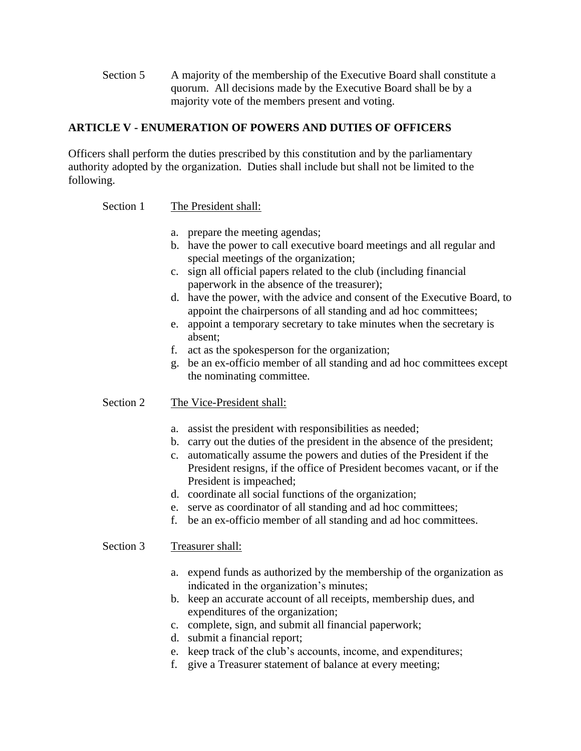Section 5 A majority of the membership of the Executive Board shall constitute a quorum. All decisions made by the Executive Board shall be by a majority vote of the members present and voting.

#### **ARTICLE V - ENUMERATION OF POWERS AND DUTIES OF OFFICERS**

Officers shall perform the duties prescribed by this constitution and by the parliamentary authority adopted by the organization. Duties shall include but shall not be limited to the following.

Section 1 The President shall:

- a. prepare the meeting agendas;
- b. have the power to call executive board meetings and all regular and special meetings of the organization;
- c. sign all official papers related to the club (including financial paperwork in the absence of the treasurer);
- d. have the power, with the advice and consent of the Executive Board, to appoint the chairpersons of all standing and ad hoc committees;
- e. appoint a temporary secretary to take minutes when the secretary is absent;
- f. act as the spokesperson for the organization;
- g. be an ex-officio member of all standing and ad hoc committees except the nominating committee.

#### Section 2 The Vice-President shall:

- a. assist the president with responsibilities as needed;
- b. carry out the duties of the president in the absence of the president;
- c. automatically assume the powers and duties of the President if the President resigns, if the office of President becomes vacant, or if the President is impeached;
- d. coordinate all social functions of the organization;
- e. serve as coordinator of all standing and ad hoc committees;
- f. be an ex-officio member of all standing and ad hoc committees.

#### Section 3 Treasurer shall:

- a. expend funds as authorized by the membership of the organization as indicated in the organization's minutes;
- b. keep an accurate account of all receipts, membership dues, and expenditures of the organization;
- c. complete, sign, and submit all financial paperwork;
- d. submit a financial report;
- e. keep track of the club's accounts, income, and expenditures;
- f. give a Treasurer statement of balance at every meeting;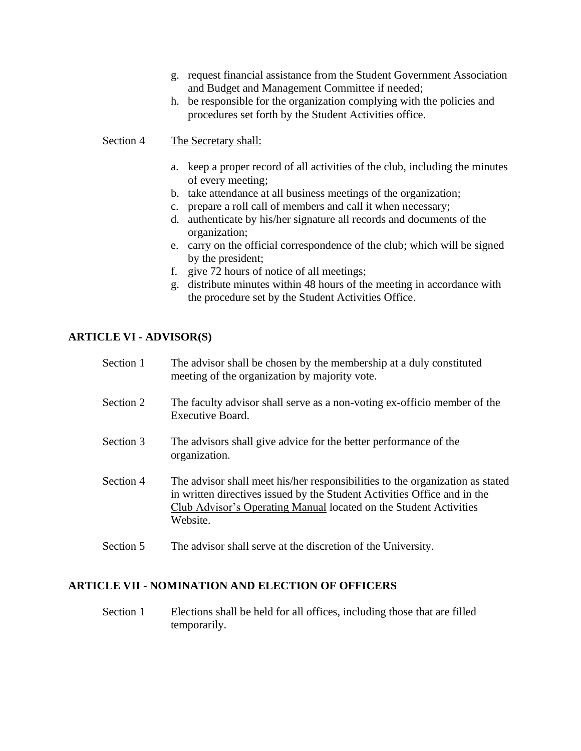- g. request financial assistance from the Student Government Association and Budget and Management Committee if needed;
- h. be responsible for the organization complying with the policies and procedures set forth by the Student Activities office.

Section 4 The Secretary shall:

- a. keep a proper record of all activities of the club, including the minutes of every meeting;
- b. take attendance at all business meetings of the organization;
- c. prepare a roll call of members and call it when necessary;
- d. authenticate by his/her signature all records and documents of the organization;
- e. carry on the official correspondence of the club; which will be signed by the president;
- f. give 72 hours of notice of all meetings;
- g. distribute minutes within 48 hours of the meeting in accordance with the procedure set by the Student Activities Office.

#### **ARTICLE VI - ADVISOR(S)**

| Section 1 | The advisor shall be chosen by the membership at a duly constituted<br>meeting of the organization by majority vote.                                                                                                                       |
|-----------|--------------------------------------------------------------------------------------------------------------------------------------------------------------------------------------------------------------------------------------------|
| Section 2 | The faculty advisor shall serve as a non-voting ex-officio member of the<br>Executive Board.                                                                                                                                               |
| Section 3 | The advisors shall give advice for the better performance of the<br>organization.                                                                                                                                                          |
| Section 4 | The advisor shall meet his/her responsibilities to the organization as stated<br>in written directives issued by the Student Activities Office and in the<br>Club Advisor's Operating Manual located on the Student Activities<br>Website. |
| Section 5 | The advisor shall serve at the discretion of the University.                                                                                                                                                                               |

#### **ARTICLE VII - NOMINATION AND ELECTION OF OFFICERS**

Section 1 Elections shall be held for all offices, including those that are filled temporarily.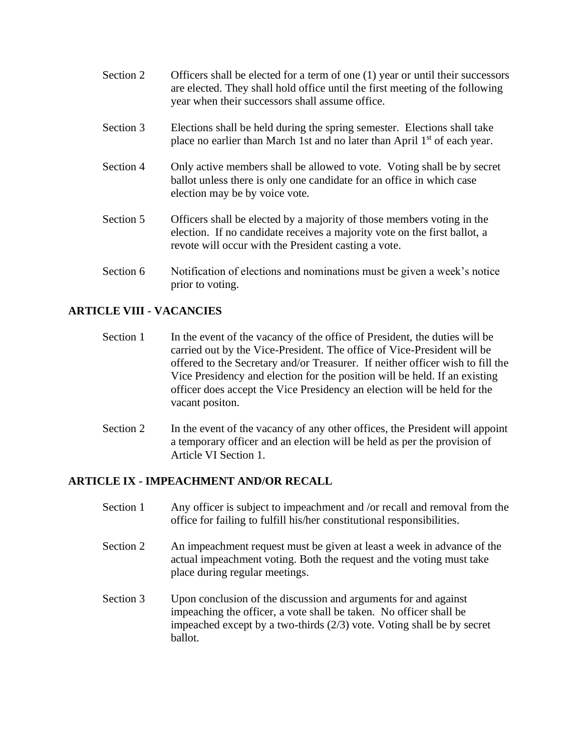- Section 2 Officers shall be elected for a term of one (1) year or until their successors are elected. They shall hold office until the first meeting of the following year when their successors shall assume office.
- Section 3 Elections shall be held during the spring semester. Elections shall take place no earlier than March 1st and no later than April 1<sup>st</sup> of each year.
- Section 4 Only active members shall be allowed to vote. Voting shall be by secret ballot unless there is only one candidate for an office in which case election may be by voice vote.
- Section 5 Officers shall be elected by a majority of those members voting in the election. If no candidate receives a majority vote on the first ballot, a revote will occur with the President casting a vote.
- Section 6 Notification of elections and nominations must be given a week's notice prior to voting.

#### **ARTICLE VIII - VACANCIES**

- Section 1 In the event of the vacancy of the office of President, the duties will be carried out by the Vice-President. The office of Vice-President will be offered to the Secretary and/or Treasurer. If neither officer wish to fill the Vice Presidency and election for the position will be held. If an existing officer does accept the Vice Presidency an election will be held for the vacant positon.
- Section 2 In the event of the vacancy of any other offices, the President will appoint a temporary officer and an election will be held as per the provision of Article VI Section 1.

#### **ARTICLE IX - IMPEACHMENT AND/OR RECALL**

- Section 1 Any officer is subject to impeachment and /or recall and removal from the office for failing to fulfill his/her constitutional responsibilities.
- Section 2 An impeachment request must be given at least a week in advance of the actual impeachment voting. Both the request and the voting must take place during regular meetings.
- Section 3 Upon conclusion of the discussion and arguments for and against impeaching the officer, a vote shall be taken. No officer shall be impeached except by a two-thirds (2/3) vote. Voting shall be by secret ballot.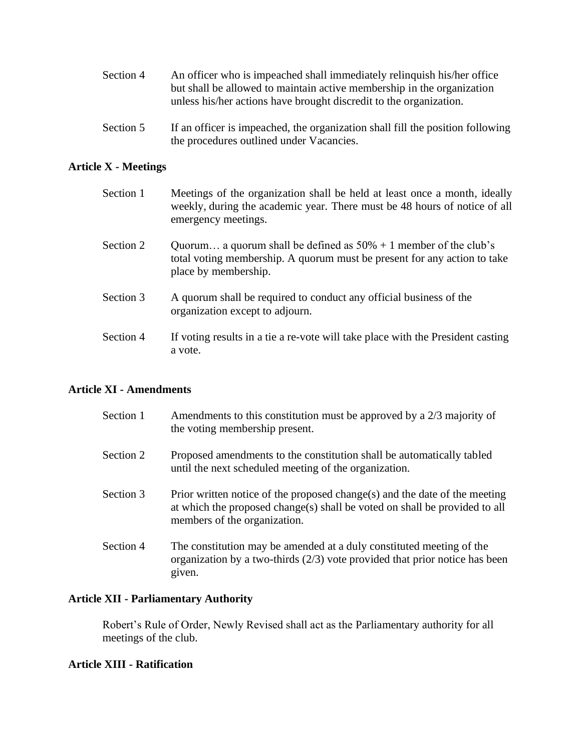| Section 4 | An officer who is impeached shall immediately relinquish his/her office |
|-----------|-------------------------------------------------------------------------|
|           | but shall be allowed to maintain active membership in the organization  |
|           | unless his/her actions have brought discredit to the organization.      |

Section 5 If an officer is impeached, the organization shall fill the position following the procedures outlined under Vacancies.

#### **Article X - Meetings**

| Section 1 | Meetings of the organization shall be held at least once a month, ideally<br>weekly, during the academic year. There must be 48 hours of notice of all<br>emergency meetings. |
|-----------|-------------------------------------------------------------------------------------------------------------------------------------------------------------------------------|
| Section 2 | Quorum a quorum shall be defined as $50\% + 1$ member of the club's<br>total voting membership. A quorum must be present for any action to take<br>place by membership.       |
| Section 3 | A quorum shall be required to conduct any official business of the<br>organization except to adjourn.                                                                         |
| Section 4 | If voting results in a tie a re-vote will take place with the President casting<br>a vote.                                                                                    |

#### **Article XI - Amendments**

| Section 1 | Amendments to this constitution must be approved by a 2/3 majority of<br>the voting membership present.                                                                                  |
|-----------|------------------------------------------------------------------------------------------------------------------------------------------------------------------------------------------|
| Section 2 | Proposed amendments to the constitution shall be automatically tabled<br>until the next scheduled meeting of the organization.                                                           |
| Section 3 | Prior written notice of the proposed change(s) and the date of the meeting<br>at which the proposed change(s) shall be voted on shall be provided to all<br>members of the organization. |
| Section 4 | The constitution may be amended at a duly constituted meeting of the<br>organization by a two-thirds $(2/3)$ vote provided that prior notice has been<br>given.                          |

#### **Article XII - Parliamentary Authority**

Robert's Rule of Order, Newly Revised shall act as the Parliamentary authority for all meetings of the club.

#### **Article XIII - Ratification**